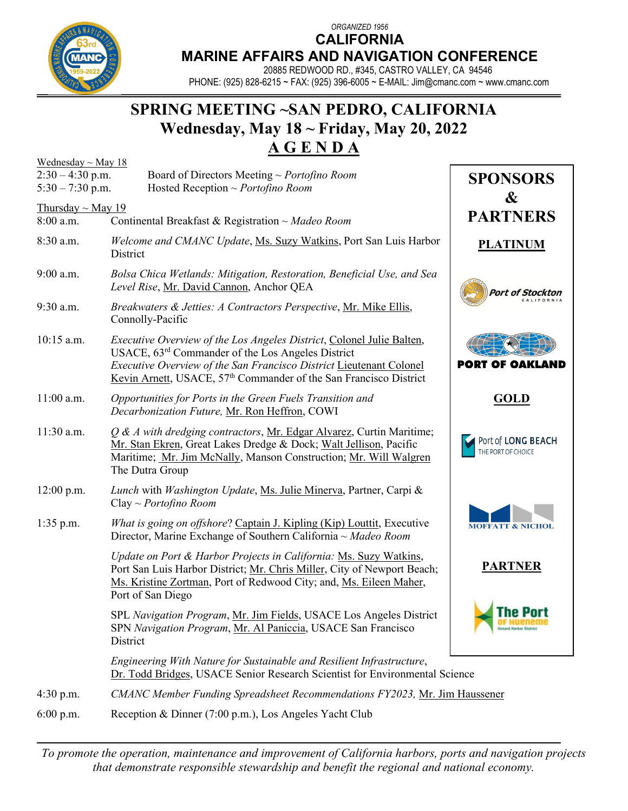*ORGANIZED 1956* **CALIFORNIA**



## **MARINE AFFAIRS AND NAVIGATION CONFERENCE**

20885 REDWOOD RD., #345, CASTRO VALLEY, CA 94546 PHONE: (925) 828-6215 ~ FAX: (925) 396-6005 ~ E-MAIL[: Jim@cmanc.com](mailto:Jim@cmanc.com) ~ www.cmanc.com

## **SPRING MEETING ~SAN PEDRO, CALIFORNIA Wednesday, May 18 ~ Friday, May 20, 2022 A G E N D A**

| Wednesday $\sim$ May 18                  |                                                                                                                                                                                                                                                                                             |                                          |  |  |  |
|------------------------------------------|---------------------------------------------------------------------------------------------------------------------------------------------------------------------------------------------------------------------------------------------------------------------------------------------|------------------------------------------|--|--|--|
| $2:30 - 4:30$ p.m.<br>$5:30 - 7:30$ p.m. | Board of Directors Meeting $\sim$ Portofino Room<br>Hosted Reception ~ <i>Portofino Room</i>                                                                                                                                                                                                | <b>SPONSORS</b><br>&                     |  |  |  |
| Thursday $\sim$ May 19<br>8:00 a.m.      | <b>PARTNERS</b>                                                                                                                                                                                                                                                                             |                                          |  |  |  |
| 8:30 a.m.                                | Welcome and CMANC Update, Ms. Suzy Watkins, Port San Luis Harbor<br>District                                                                                                                                                                                                                | <b>PLATINUM</b>                          |  |  |  |
| 9:00 a.m.                                | Bolsa Chica Wetlands: Mitigation, Restoration, Beneficial Use, and Sea<br>Level Rise, Mr. David Cannon, Anchor QEA                                                                                                                                                                          | Port of Stockton                         |  |  |  |
| 9:30 a.m.                                | Breakwaters & Jetties: A Contractors Perspective, Mr. Mike Ellis,<br>Connolly-Pacific                                                                                                                                                                                                       |                                          |  |  |  |
| 10:15 a.m.                               | <i>Executive Overview of the Los Angeles District, Colonel Julie Balten,</i><br>USACE, $63rd$ Commander of the Los Angeles District<br>Executive Overview of the San Francisco District Lieutenant Colonel<br>Kevin Arnett, USACE, 57 <sup>th</sup> Commander of the San Francisco District | <b>PORT OF OAKLAND</b>                   |  |  |  |
| $11:00$ a.m.                             | Opportunities for Ports in the Green Fuels Transition and<br>Decarbonization Future, Mr. Ron Heffron, COWI                                                                                                                                                                                  | <b>GOLD</b>                              |  |  |  |
| 11:30 a.m.                               | Q & A with dredging contractors, Mr. Edgar Alvarez, Curtin Maritime;<br>Mr. Stan Ekren, Great Lakes Dredge & Dock; Walt Jellison, Pacific<br>Maritime; Mr. Jim McNally, Manson Construction; Mr. Will Walgren<br>The Dutra Group                                                            | Port of LONG BEACH<br>THE PORT OF CHOICE |  |  |  |
| $12:00$ p.m.                             | Lunch with Washington Update, Ms. Julie Minerva, Partner, Carpi &<br>Clay ~ <i>Portofino Room</i>                                                                                                                                                                                           |                                          |  |  |  |
| $1:35$ p.m.                              | What is going on offshore? Captain J. Kipling (Kip) Louttit, Executive<br>Director, Marine Exchange of Southern California ~ Madeo Room                                                                                                                                                     | <b>MOFFATT &amp; NICHOL</b>              |  |  |  |
|                                          | Update on Port & Harbor Projects in California: Ms. Suzy Watkins,<br>Port San Luis Harbor District; Mr. Chris Miller, City of Newport Beach;<br>Ms. Kristine Zortman, Port of Redwood City; and, Ms. Eileen Maher,<br>Port of San Diego                                                     | <b>PARTNER</b>                           |  |  |  |
|                                          | SPL Navigation Program, Mr. Jim Fields, USACE Los Angeles District<br>SPN Navigation Program, Mr. Al Paniccia, USACE San Francisco<br>District                                                                                                                                              | he Port<br><b>Denard Harbor Distr</b>    |  |  |  |
|                                          | Engineering With Nature for Sustainable and Resilient Infrastructure,<br>Dr. Todd Bridges, USACE Senior Research Scientist for Environmental Science                                                                                                                                        |                                          |  |  |  |
| 4:30 p.m.                                | <b>CMANC Member Funding Spreadsheet Recommendations FY2023, Mr. Jim Haussener</b>                                                                                                                                                                                                           |                                          |  |  |  |
| 6:00 p.m.                                | Reception & Dinner (7:00 p.m.), Los Angeles Yacht Club                                                                                                                                                                                                                                      |                                          |  |  |  |

*To promote the operation, maintenance and improvement of California harbors, ports and navigation projects that demonstrate responsible stewardship and benefit the regional and national economy.*